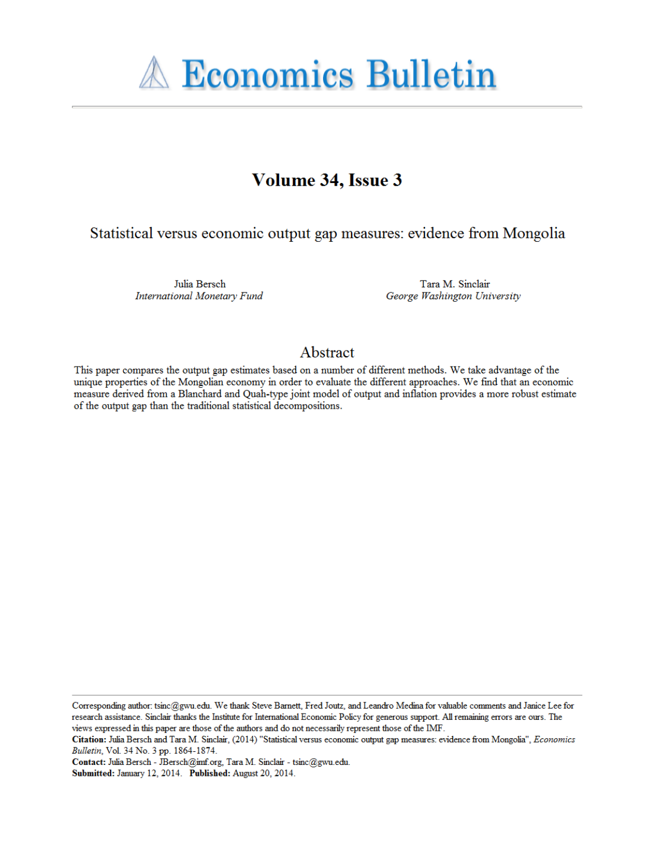

# Volume 34, Issue 3

Statistical versus economic output gap measures: evidence from Mongolia

Julia Bersch **International Monetary Fund** 

Tara M. Sinclair George Washington University

## Abstract

This paper compares the output gap estimates based on a number of different methods. We take advantage of the unique properties of the Mongolian economy in order to evaluate the different approaches. We find that an economic measure derived from a Blanchard and Quah-type joint model of output and inflation provides a more robust estimate of the output gap than the traditional statistical decompositions.

Corresponding author: tsinc@gwu.edu. We thank Steve Barnett, Fred Joutz, and Leandro Medina for valuable comments and Janice Lee for research assistance. Sinclair thanks the Institute for International Economic Policy for generous support. All remaining errors are ours. The views expressed in this paper are those of the authors and do not necessarily represent those of the IMF.

Citation: Julia Bersch and Tara M. Sinclair, (2014) "Statistical versus economic output gap measures: evidence from Mongolia", Economics Bulletin, Vol. 34 No. 3 pp. 1864-1874.

Contact: Julia Bersch - JBersch@imf.org, Tara M. Sinclair - tsinc@gwu.edu. Submitted: January 12, 2014. Published: August 20, 2014.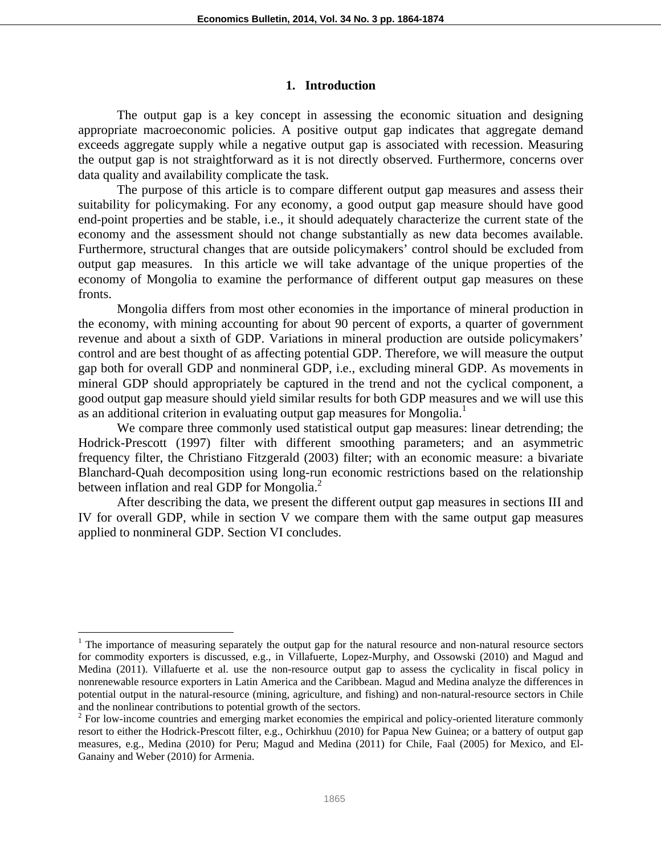#### **1. Introduction**

The output gap is a key concept in assessing the economic situation and designing appropriate macroeconomic policies. A positive output gap indicates that aggregate demand exceeds aggregate supply while a negative output gap is associated with recession. Measuring the output gap is not straightforward as it is not directly observed. Furthermore, concerns over data quality and availability complicate the task.

The purpose of this article is to compare different output gap measures and assess their suitability for policymaking. For any economy, a good output gap measure should have good end-point properties and be stable, i.e., it should adequately characterize the current state of the economy and the assessment should not change substantially as new data becomes available. Furthermore, structural changes that are outside policymakers' control should be excluded from output gap measures. In this article we will take advantage of the unique properties of the economy of Mongolia to examine the performance of different output gap measures on these fronts.

Mongolia differs from most other economies in the importance of mineral production in the economy, with mining accounting for about 90 percent of exports, a quarter of government revenue and about a sixth of GDP. Variations in mineral production are outside policymakers' control and are best thought of as affecting potential GDP. Therefore, we will measure the output gap both for overall GDP and nonmineral GDP, i.e., excluding mineral GDP. As movements in mineral GDP should appropriately be captured in the trend and not the cyclical component, a good output gap measure should yield similar results for both GDP measures and we will use this as an additional criterion in evaluating output gap measures for Mongolia.<sup>1</sup>

We compare three commonly used statistical output gap measures: linear detrending; the Hodrick-Prescott (1997) filter with different smoothing parameters; and an asymmetric frequency filter, the Christiano Fitzgerald (2003) filter; with an economic measure: a bivariate Blanchard-Quah decomposition using long-run economic restrictions based on the relationship between inflation and real GDP for Mongolia.<sup>2</sup>

After describing the data, we present the different output gap measures in sections III and IV for overall GDP, while in section V we compare them with the same output gap measures applied to nonmineral GDP. Section VI concludes.

 $\overline{a}$ 

<sup>&</sup>lt;sup>1</sup> The importance of measuring separately the output gap for the natural resource and non-natural resource sectors for commodity exporters is discussed, e.g., in Villafuerte, Lopez-Murphy, and Ossowski (2010) and Magud and Medina (2011). Villafuerte et al. use the non-resource output gap to assess the cyclicality in fiscal policy in nonrenewable resource exporters in Latin America and the Caribbean. Magud and Medina analyze the differences in potential output in the natural-resource (mining, agriculture, and fishing) and non-natural-resource sectors in Chile and the nonlinear contributions to potential growth of the sectors.

 $2^2$  For low-income countries and emerging market economies the empirical and policy-oriented literature commonly resort to either the Hodrick-Prescott filter, e.g., Ochirkhuu (2010) for Papua New Guinea; or a battery of output gap measures, e.g., Medina (2010) for Peru; Magud and Medina (2011) for Chile, Faal (2005) for Mexico, and El-Ganainy and Weber (2010) for Armenia.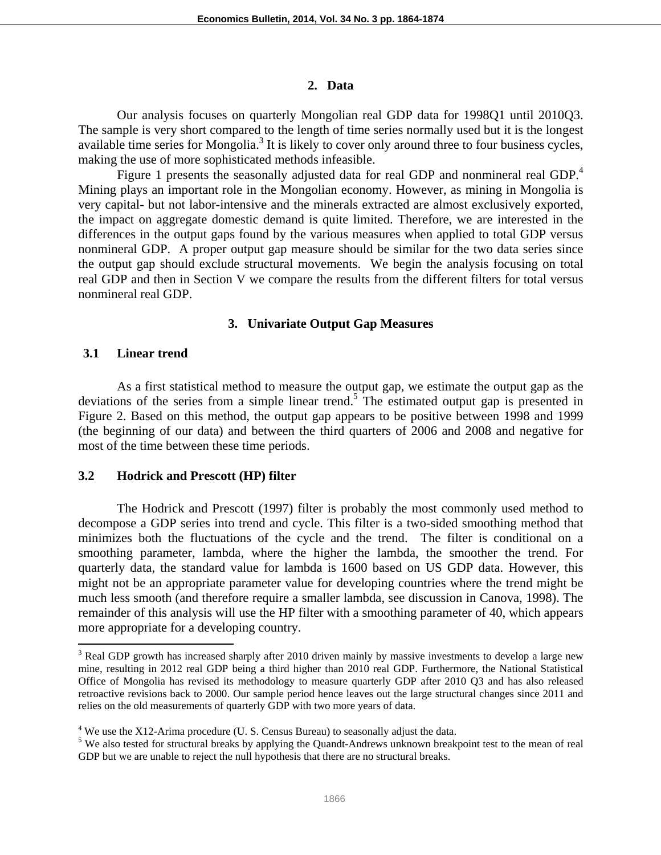#### **2. Data**

Our analysis focuses on quarterly Mongolian real GDP data for 1998Q1 until 2010Q3. The sample is very short compared to the length of time series normally used but it is the longest available time series for Mongolia.<sup>3</sup> It is likely to cover only around three to four business cycles, making the use of more sophisticated methods infeasible.

Figure 1 presents the seasonally adjusted data for real GDP and nonmineral real GDP.<sup>4</sup> Mining plays an important role in the Mongolian economy. However, as mining in Mongolia is very capital- but not labor-intensive and the minerals extracted are almost exclusively exported, the impact on aggregate domestic demand is quite limited. Therefore, we are interested in the differences in the output gaps found by the various measures when applied to total GDP versus nonmineral GDP. A proper output gap measure should be similar for the two data series since the output gap should exclude structural movements. We begin the analysis focusing on total real GDP and then in Section V we compare the results from the different filters for total versus nonmineral real GDP.

## **3. Univariate Output Gap Measures**

## **3.1 Linear trend**

 $\overline{a}$ 

As a first statistical method to measure the output gap, we estimate the output gap as the deviations of the series from a simple linear trend.<sup>5</sup> The estimated output gap is presented in Figure 2. Based on this method, the output gap appears to be positive between 1998 and 1999 (the beginning of our data) and between the third quarters of 2006 and 2008 and negative for most of the time between these time periods.

## **3.2 Hodrick and Prescott (HP) filter**

The Hodrick and Prescott (1997) filter is probably the most commonly used method to decompose a GDP series into trend and cycle. This filter is a two-sided smoothing method that minimizes both the fluctuations of the cycle and the trend. The filter is conditional on a smoothing parameter, lambda, where the higher the lambda, the smoother the trend. For quarterly data, the standard value for lambda is 1600 based on US GDP data. However, this might not be an appropriate parameter value for developing countries where the trend might be much less smooth (and therefore require a smaller lambda, see discussion in Canova, 1998). The remainder of this analysis will use the HP filter with a smoothing parameter of 40, which appears more appropriate for a developing country.

 $3$  Real GDP growth has increased sharply after 2010 driven mainly by massive investments to develop a large new mine, resulting in 2012 real GDP being a third higher than 2010 real GDP. Furthermore, the National Statistical Office of Mongolia has revised its methodology to measure quarterly GDP after 2010 Q3 and has also released retroactive revisions back to 2000. Our sample period hence leaves out the large structural changes since 2011 and relies on the old measurements of quarterly GDP with two more years of data.

 $4$  We use the X12-Arima procedure (U. S. Census Bureau) to seasonally adjust the data.

<sup>&</sup>lt;sup>5</sup> We also tested for structural breaks by applying the Quandt-Andrews unknown breakpoint test to the mean of real GDP but we are unable to reject the null hypothesis that there are no structural breaks.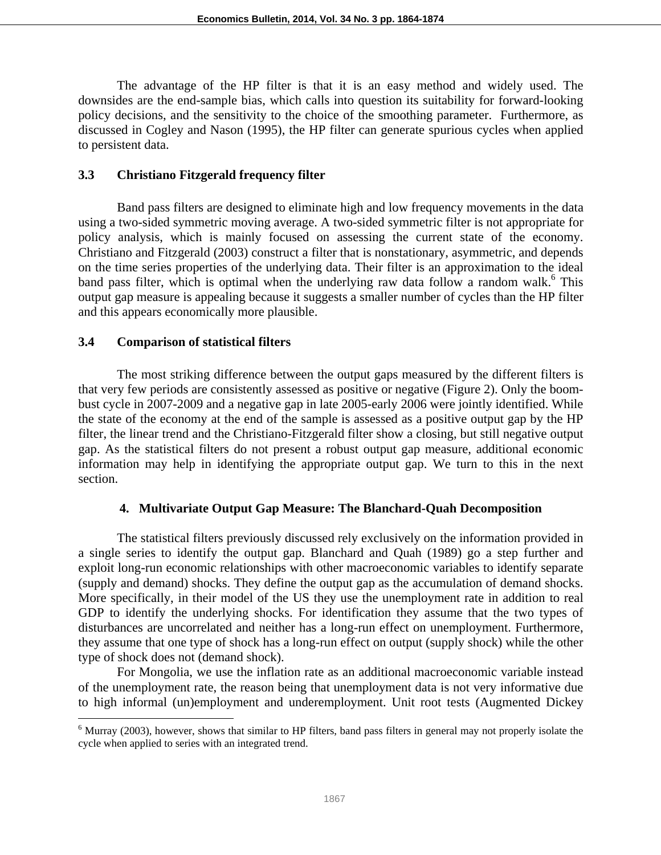The advantage of the HP filter is that it is an easy method and widely used. The downsides are the end-sample bias, which calls into question its suitability for forward-looking policy decisions, and the sensitivity to the choice of the smoothing parameter. Furthermore, as discussed in Cogley and Nason (1995), the HP filter can generate spurious cycles when applied to persistent data.

## **3.3 Christiano Fitzgerald frequency filter**

Band pass filters are designed to eliminate high and low frequency movements in the data using a two-sided symmetric moving average. A two-sided symmetric filter is not appropriate for policy analysis, which is mainly focused on assessing the current state of the economy. Christiano and Fitzgerald (2003) construct a filter that is nonstationary, asymmetric, and depends on the time series properties of the underlying data. Their filter is an approximation to the ideal band pass filter, which is optimal when the underlying raw data follow a random walk.<sup>6</sup> This output gap measure is appealing because it suggests a smaller number of cycles than the HP filter and this appears economically more plausible.

## **3.4 Comparison of statistical filters**

The most striking difference between the output gaps measured by the different filters is that very few periods are consistently assessed as positive or negative (Figure 2). Only the boombust cycle in 2007-2009 and a negative gap in late 2005-early 2006 were jointly identified. While the state of the economy at the end of the sample is assessed as a positive output gap by the HP filter, the linear trend and the Christiano-Fitzgerald filter show a closing, but still negative output gap. As the statistical filters do not present a robust output gap measure, additional economic information may help in identifying the appropriate output gap. We turn to this in the next section.

## **4. Multivariate Output Gap Measure: The Blanchard-Quah Decomposition**

The statistical filters previously discussed rely exclusively on the information provided in a single series to identify the output gap. Blanchard and Quah (1989) go a step further and exploit long-run economic relationships with other macroeconomic variables to identify separate (supply and demand) shocks. They define the output gap as the accumulation of demand shocks. More specifically, in their model of the US they use the unemployment rate in addition to real GDP to identify the underlying shocks. For identification they assume that the two types of disturbances are uncorrelated and neither has a long-run effect on unemployment. Furthermore, they assume that one type of shock has a long-run effect on output (supply shock) while the other type of shock does not (demand shock).

For Mongolia, we use the inflation rate as an additional macroeconomic variable instead of the unemployment rate, the reason being that unemployment data is not very informative due to high informal (un)employment and underemployment. Unit root tests (Augmented Dickey

 $\overline{a}$  $6$  Murray (2003), however, shows that similar to HP filters, band pass filters in general may not properly isolate the cycle when applied to series with an integrated trend.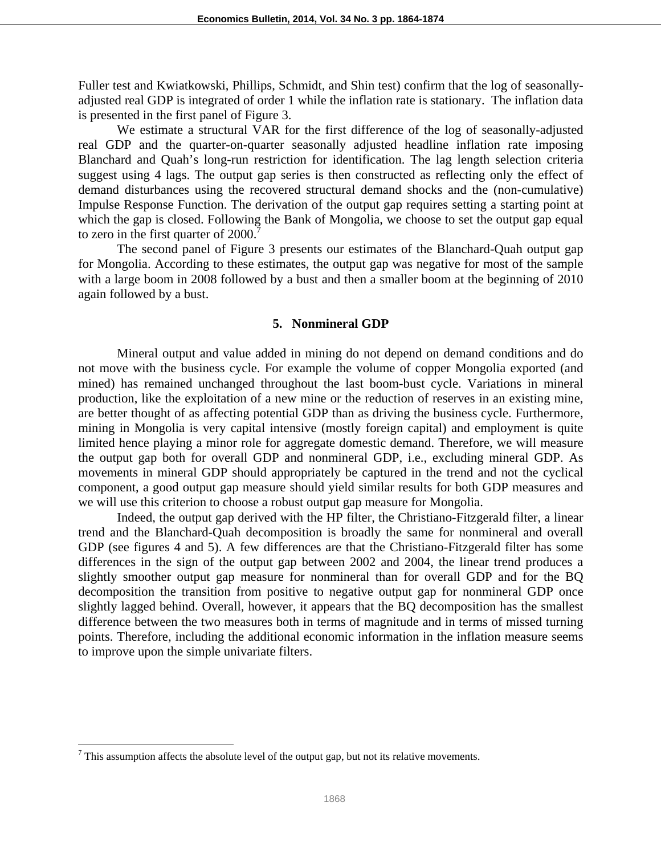Fuller test and Kwiatkowski, Phillips, Schmidt, and Shin test) confirm that the log of seasonallyadjusted real GDP is integrated of order 1 while the inflation rate is stationary. The inflation data is presented in the first panel of Figure 3.

We estimate a structural VAR for the first difference of the log of seasonally-adjusted real GDP and the quarter-on-quarter seasonally adjusted headline inflation rate imposing Blanchard and Quah's long-run restriction for identification. The lag length selection criteria suggest using 4 lags. The output gap series is then constructed as reflecting only the effect of demand disturbances using the recovered structural demand shocks and the (non-cumulative) Impulse Response Function. The derivation of the output gap requires setting a starting point at which the gap is closed. Following the Bank of Mongolia, we choose to set the output gap equal to zero in the first quarter of 2000.

The second panel of Figure 3 presents our estimates of the Blanchard-Quah output gap for Mongolia. According to these estimates, the output gap was negative for most of the sample with a large boom in 2008 followed by a bust and then a smaller boom at the beginning of 2010 again followed by a bust.

#### **5. Nonmineral GDP**

Mineral output and value added in mining do not depend on demand conditions and do not move with the business cycle. For example the volume of copper Mongolia exported (and mined) has remained unchanged throughout the last boom-bust cycle. Variations in mineral production, like the exploitation of a new mine or the reduction of reserves in an existing mine, are better thought of as affecting potential GDP than as driving the business cycle. Furthermore, mining in Mongolia is very capital intensive (mostly foreign capital) and employment is quite limited hence playing a minor role for aggregate domestic demand. Therefore, we will measure the output gap both for overall GDP and nonmineral GDP, i.e., excluding mineral GDP. As movements in mineral GDP should appropriately be captured in the trend and not the cyclical component, a good output gap measure should yield similar results for both GDP measures and we will use this criterion to choose a robust output gap measure for Mongolia.

Indeed, the output gap derived with the HP filter, the Christiano-Fitzgerald filter, a linear trend and the Blanchard-Quah decomposition is broadly the same for nonmineral and overall GDP (see figures 4 and 5). A few differences are that the Christiano-Fitzgerald filter has some differences in the sign of the output gap between 2002 and 2004, the linear trend produces a slightly smoother output gap measure for nonmineral than for overall GDP and for the BQ decomposition the transition from positive to negative output gap for nonmineral GDP once slightly lagged behind. Overall, however, it appears that the BQ decomposition has the smallest difference between the two measures both in terms of magnitude and in terms of missed turning points. Therefore, including the additional economic information in the inflation measure seems to improve upon the simple univariate filters.

<sup>&</sup>lt;sup>7</sup> This assumption affects the absolute level of the output gap, but not its relative movements.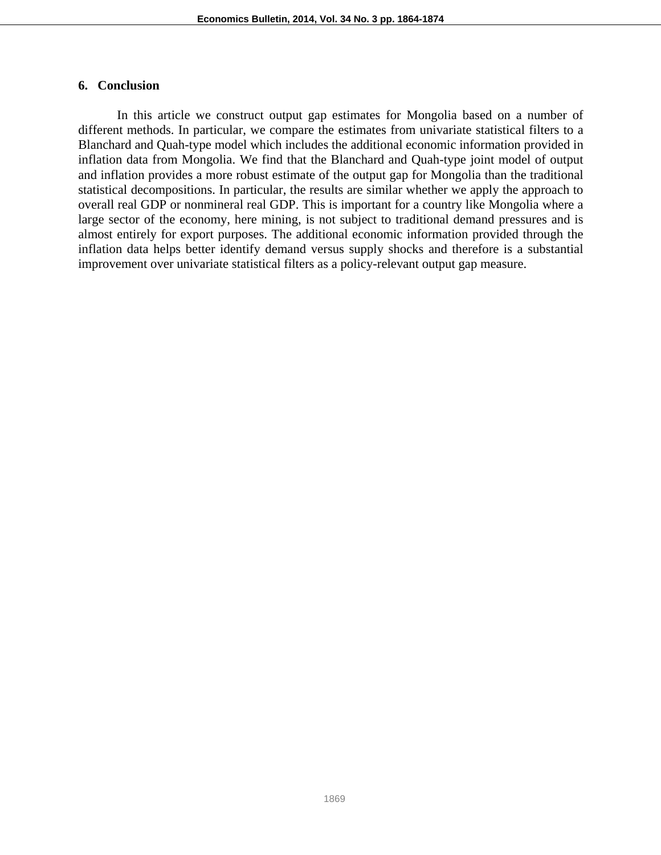## **6. Conclusion**

In this article we construct output gap estimates for Mongolia based on a number of different methods. In particular, we compare the estimates from univariate statistical filters to a Blanchard and Quah-type model which includes the additional economic information provided in inflation data from Mongolia. We find that the Blanchard and Quah-type joint model of output and inflation provides a more robust estimate of the output gap for Mongolia than the traditional statistical decompositions. In particular, the results are similar whether we apply the approach to overall real GDP or nonmineral real GDP. This is important for a country like Mongolia where a large sector of the economy, here mining, is not subject to traditional demand pressures and is almost entirely for export purposes. The additional economic information provided through the inflation data helps better identify demand versus supply shocks and therefore is a substantial improvement over univariate statistical filters as a policy-relevant output gap measure.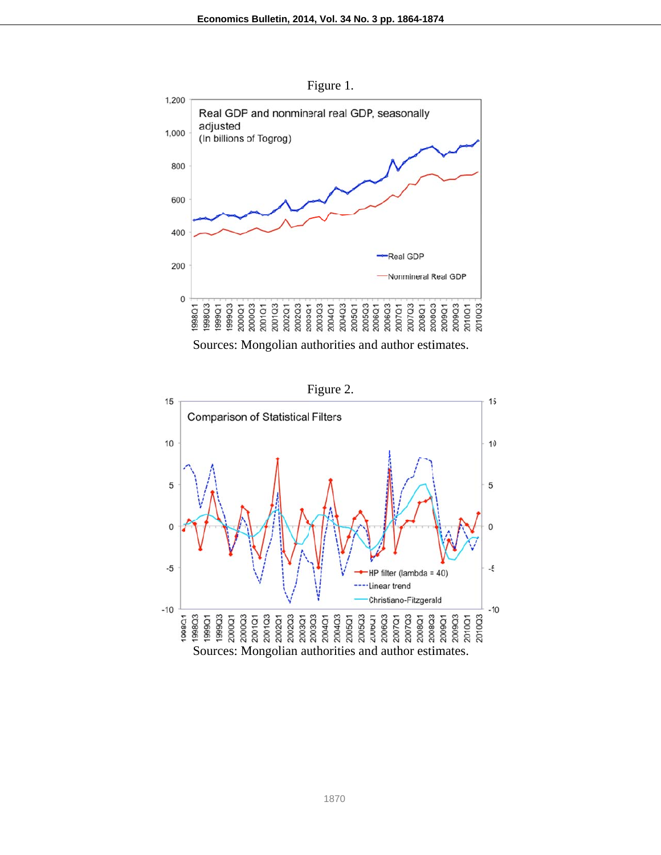F Figure 1.



Sources: Mongolian authorities and author estimates.

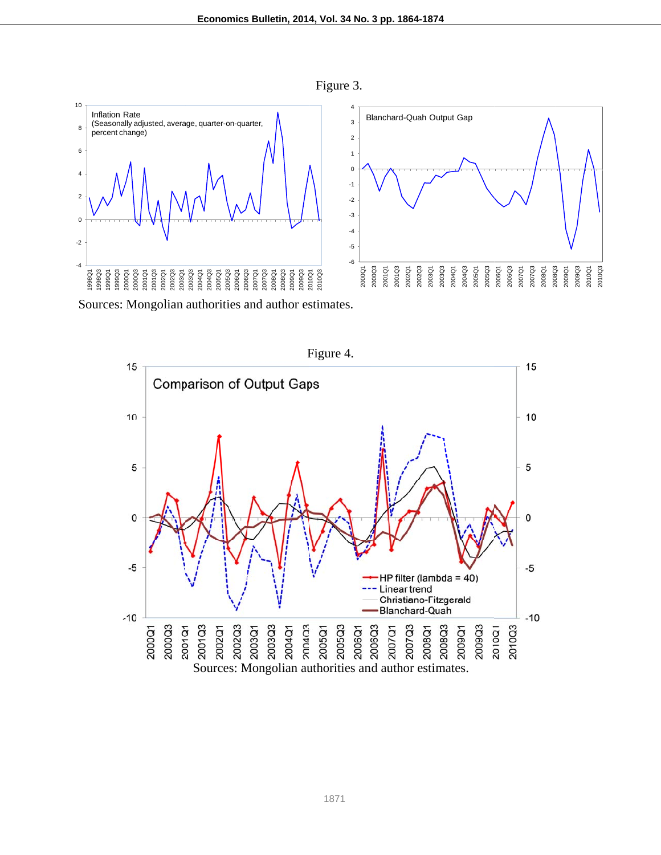Figure 3.



Sources: Mongolian authorities and author estimates.

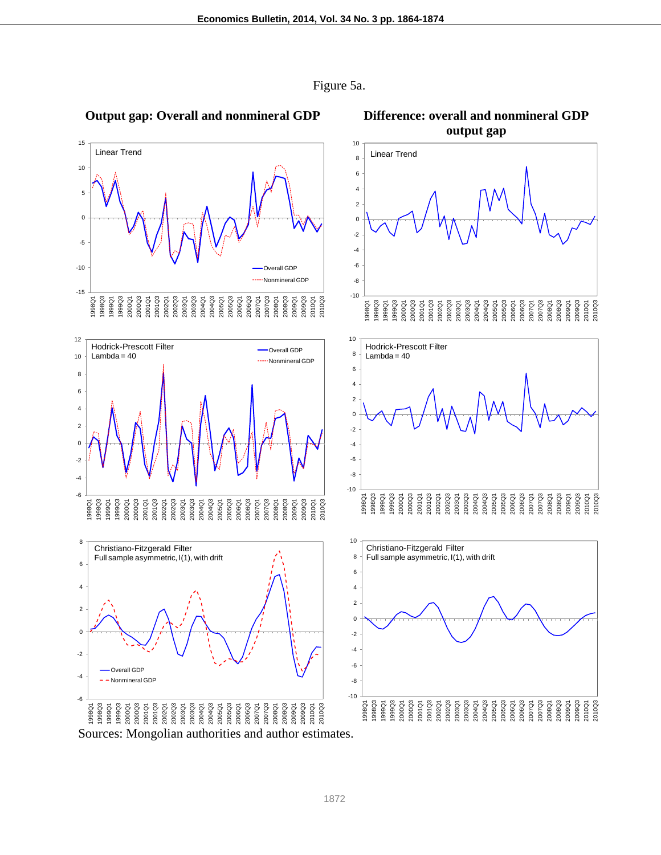

Figure 5a.

**output gap** 

#### **Output gap: Overall and nonmineral GDP Difference: overall and nonmineral GDP**

Sources: Mongolian authorities and author estimates.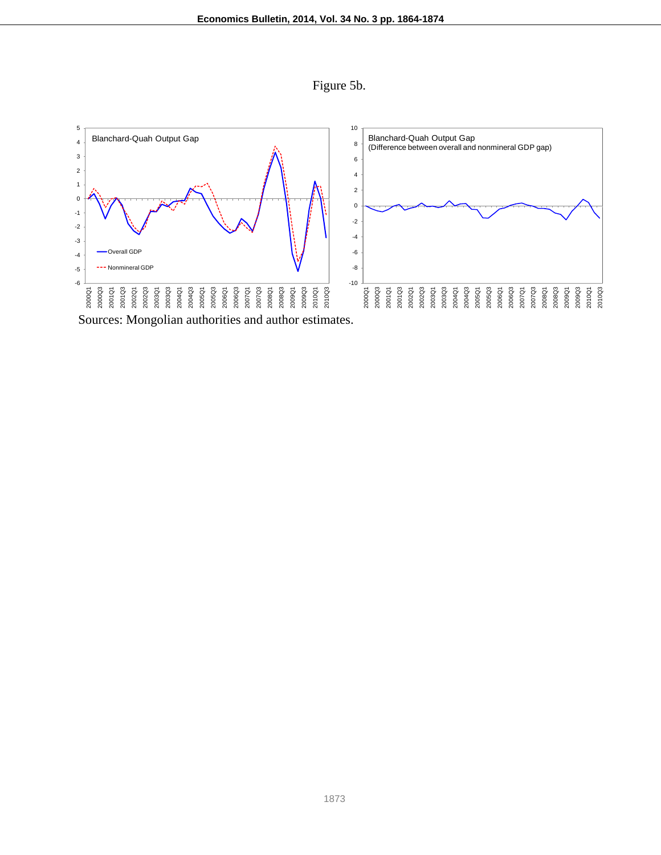



Sources: Mongolian authorities and author estimates.